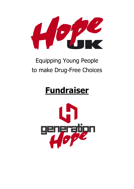

# Equipping Young People to make Drug-Free Choices

# **Fundraiser**

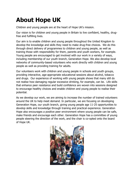# **About Hope UK**

Children and young people are at the heart of Hope UK's mission.

Our vision is for children and young people in Britain to live confident, healthy, drugfree and fulfilling lives.

Our aim is to enable children and young people throughout the United Kingdom to develop the knowledge and skills they need to make drug-free choices. We do this through direct delivery of programmes to children and young people, as well as training those with responsibility for them, parents and youth workers, for example. Young people are encouraged to get involved with our work in a variety of ways, including membership of our youth branch, Generation Hope. We also develop local networks of community-based volunteers who work directly with children and young people as well as providing training for adults.

Our volunteers work with children and young people in schools and youth groups, providing interactive, age-appropriate educational sessions about alcohol, tobacco and drugs. Our experience of working with young people shows that many still do not realise how damaging regular excessive drinking, for example, can be. Life skills that enhance peer resistance and build confidence are woven into sessions designed to encourage healthy choices and enable children and young people to realise their potential.

As we develop our work, we are aiming to increase the number of trained volunteers around the UK to help meet demand. In particular, we are focusing on developing Generation Hope, our youth branch, giving young people age 11-25 opportunities to develop skills and knowledge through training and practical experience. Generation Hope also encourages a positive peer environment where young people can be safe, make friends and encourage each other. Generation Hope has a committee of young people steering the direction of the work, and the chair is co-opted onto the board of Hope UK.

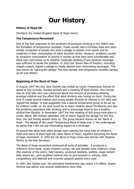# **Our History**

## **History of Hope UK**

(Formerly the United Kingdom Band of Hope Union)

### **The Temperance Movement**

One of the first responses to the problems of excessive drinking in the 1800's was the formation of temperance societies. These usually had a Christian base and were initially composed of people who took a pledge to abstain from spirits and be moderate in their consumption of other alcoholic drinks. However, problems caused by excessive consumption of alcohol in society at that time were considerable and there was controversy as to whether moderate drinking of any alcoholic beverage was sufficient to tackle the problem. In 1832 the 'Seven Men of Preston', including Joseph Livesey, signed a pledge to totally abstain from intoxicating beverages. This was known as 'signing the pledge' The idea spread, and temperance societies sprang up all over Britain.

# **Beginning of the Band of Hope**

In August 1847 Mrs Ann Jane Carlisle was invited by Leeds Temperance Society to speak at Day Schools, Sunday Schools and a meeting of local women. Mrs Carlisle was an Irish lady who was concerned about the amount of excessive drinking amongst children and the effect that adult drinking was having on them. During her time in Leeds several children and young people showed an interest in her talks and 'signed the pledge'. It was suggested that a special temperance group to be set up for children under 16. Its aims would be to teach children about Christianity and also the problems associated with drinking and to encourage them to live a healthy, alcohol-free lifestyle. In November 1847 the first meeting of this group took place in Leeds. About 300 children attended, 200 of whom 'signed the pledge' for the first time, the rest having already done so. The group became known as the 'Band of Hope'. The pledge of the Leeds Temperance Band of Hope was 'I, the undersigned, do agree that I will not use intoxicating liquors as a beverage'.

At around the same time other groups were starting the same kind of children's clubs and many of them took the name 'Band of Hope', together becoming the Band of Hope movement. In 1855 the UK Band of Hope Union was formed with Stephen Shirley as the first Secretary.

The Band of Hope movement embraced all sorts of activities - it produced a children's hymn book, wrote children's songs, ran and started more children's clubs (the essence of the work), held bazaars, produced booklets, leaflets, magic lantern slide shows etc., sent qualified medical men to give lectures in schools, held competitions and festivals and crowned pageant queens every year.

In 1897, the Jubilee year, the estimated membership was nearly 3.5 million, Queen Victoria was patron and several celebrations were held.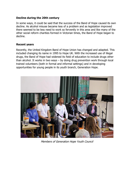## **Decline during the 20th century**

In some ways, it could be said that the success of the Band of Hope caused its own decline. As alcohol misuse became less of a problem and as legislation improved there seemed to be less need to work so fervently in this area and like many of the other social reform charities formed in Victorian times, the Band of Hope began to decline.

#### **Recent years**

Recently, the United Kingdom Band of Hope Union has changed and adapted. This included changing its name in 1995 to Hope UK. With the increased use of illegal drugs, the Band of Hope had widened its field of education to include drugs other than alcohol. It works in two ways – by doing drug prevention work through local trained volunteers (both in formal and informal settings) and in developing opportunities for young people in its youth branch, Generation Hope.



Members of Generation Hope Youth Council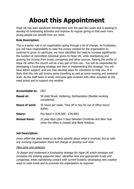# **About this Appointment**

Hope UK has seen significant development over the past few years and is seeking to develop its fundraising activities and improve its regular giving so that even more young people can benefit from our work.

# **Role Description:**

This is a senior role in an organisation going through a lot of change. As Fundraiser, you will have responsibility to raise the money needed for the organisation to continue to grow. In particular, we have identified the need to increase significantly the number of committed individual givers to Hope UK, while maintaining and growing the income from trusts, companies and other sources. Raising the profile of Hope UK within the church will be a key part of this role. You will be responsible for developing a fundraising strategy and then in implementing this strategy. You will have admin support, and you may develop ways for volunteers to help you. It is likely that this role will involve some travelling as well as some evening and weekend work. As the staff team is small, everyone gets involved with other activities as the need arises and to support one another.

| CFO                                                                                                        |
|------------------------------------------------------------------------------------------------------------|
| 50 Gold Street, Kettering, Northampton (flexible working<br>considered)                                    |
| 35 hours per week. Time off in lieu for out of office hours'<br>duties.                                    |
| Pay Band 4 (£29,500 - £34,000)                                                                             |
| 22 paid days (plus 3 days between Christmas and New Year<br>when the office is closed) plus Bank Holidays. |
|                                                                                                            |

# **Job Description:**

Every effort has been made to be fairly specific about what is involved, but as with any evolving organisation these will change or develop over time

# Main aims and objective

To design and implement a fundraising strategy for Hope UK which develops and increases the existing supporter base: identifies new and appropriate trusts and companies, while maintaining contact with current funders; developing new creative ways to raise funds and to promote the organisation as required.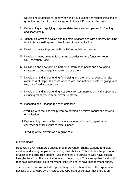- 1. Developing strategies to identify new individual supporter relationships and to grow the number of individuals giving to Hope UK on a regular basis.
- 2. Researching and applying to appropriate trusts and companies for funding and sponsorship.
- 3. Identifying ways to develop and maintain relationships with funders, including face to face meetings and other forms of communication
- 4. Developing ways to promote Hope UK, especially to the church.
- 5. Developing new, creative fundraising activities to raise funds for Hope UK/Generation Hope
- 6. Designing and developing fundraising information packs and developing strategies to encourage supporters to use them
- 7. Developing and implementing fundraising and promotional events to raise awareness of Hope UK and its work at local and national levels by giving talks to groups/media contact, etc.
- 8. Developing and implementing a strategy for communications with supporters including thank you letters, prayer points etc.
- 9. Managing and updating the trust database
- 10.Working with the leadership team to develop a healthy, robust and thriving organisation
- 11.Representing the organisation where necessary, including speaking at churches or other events to raise support
- 12. Leading office prayers on a regular basis.

#### PLEASE NOTE:

Hope UK is a Christian drug education and prevention charity working to enable children and young people to make drug-free choices. This includes the promotion of alcohol and drug-free options. Our members are Christians who have chosen lifestyles free from the use of alcohol and illegal drugs. This also applies for all staff that have responsibilities to represent Hope UK and/or have management duties.

The duties of this post include representing the Christian ethos of the organisation. Because of this, Hope UK's Trustees and CEO have designated that there is an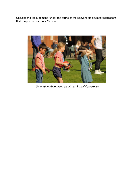Occupational Requirement (under the terms of the relevant employment regulations) that the post-holder be a Christian.



Generation Hope members at our Annual Conference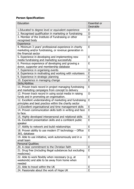# **Person Specification:**

| Education                                                                                                    | <b>Essential or</b><br>Desirable |
|--------------------------------------------------------------------------------------------------------------|----------------------------------|
| 1. Educated to degree level or equivalent experience                                                         | E                                |
| 2. Recognised qualification in marketing or fundraising                                                      | D                                |
| 3. Member of the Institute of Fundraising or other                                                           | D                                |
| recognised body                                                                                              |                                  |
| Experience                                                                                                   |                                  |
| 4. Minimum 3 years' professional experience in charity                                                       | E                                |
| marketing and/or fundraising, or revenue generation in                                                       |                                  |
| the financial sector                                                                                         |                                  |
| 5. Experience in developing and implementing new                                                             | E                                |
| media fundraising and marketing successfully                                                                 |                                  |
| 6. Previous experience of developing and growing a                                                           | E                                |
| donor, supporter and membership database                                                                     |                                  |
| 7. Experience in organising events                                                                           | D                                |
| 8. Experience in motivating and working with volunteers                                                      | E                                |
| 9. Experience in strategic planning                                                                          | E<br>E                           |
| 10. Experience in managing change                                                                            |                                  |
| <b>Skills/Abilities</b>                                                                                      | E                                |
| 11. Proven track record in project managing fundraising                                                      |                                  |
| and marketing campaigns from concept to delivery<br>12. Proven track record in using social media in raising | D                                |
| funds and in promoting an organisation.                                                                      |                                  |
| 12. Excellent understanding of marketing and fundraising                                                     | E                                |
| principles and best practice within the charity sector                                                       |                                  |
| 13. Excellent organisational and time management skills                                                      | E                                |
| 14. Proven communication skills both in writing and face                                                     | E                                |
| to face.                                                                                                     |                                  |
| 15. Highly developed interpersonal and relational skills                                                     | E                                |
| 16. Excellent presentation skills and a confident public                                                     | E                                |
| speaker                                                                                                      |                                  |
| 17. Ability to network and build relationships                                                               | E                                |
| 18. Proven ability to use modern IT technology - Office                                                      | E                                |
| 365, database                                                                                                |                                  |
| 19. Able to use initiative, work autonomously and in a                                                       | E                                |
| small team                                                                                                   |                                  |
| <b>Personal Qualities</b>                                                                                    |                                  |
| 20. A clear commitment to the Christian faith                                                                | E                                |
| 21. Drug free (including illegal substances but excluding                                                    | E                                |
| medicines)                                                                                                   |                                  |
| 22. Able to work flexibly when necessary (e.g. at                                                            | E                                |
| weekends) and able to be away from home when                                                                 |                                  |
| needed<br>23. Able to travel within the UK                                                                   | E                                |
| 24. Passionate about the work of Hope UK                                                                     | E                                |
|                                                                                                              |                                  |